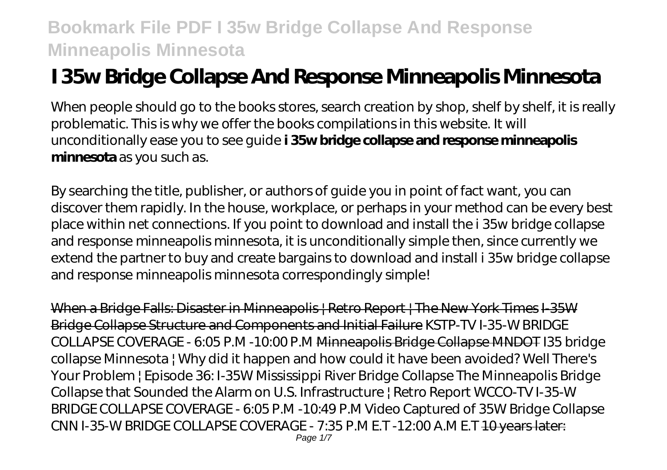# **I 35w Bridge Collapse And Response Minneapolis Minnesota**

When people should go to the books stores, search creation by shop, shelf by shelf, it is really problematic. This is why we offer the books compilations in this website. It will unconditionally ease you to see guide **i 35w bridge collapse and response minneapolis minnesota** as you such as.

By searching the title, publisher, or authors of guide you in point of fact want, you can discover them rapidly. In the house, workplace, or perhaps in your method can be every best place within net connections. If you point to download and install the i 35w bridge collapse and response minneapolis minnesota, it is unconditionally simple then, since currently we extend the partner to buy and create bargains to download and install i 35w bridge collapse and response minneapolis minnesota correspondingly simple!

When a Bridge Falls: Disaster in Minneapolis | Retro Report | The New York Times I-35W Bridge Collapse Structure and Components and Initial Failure *KSTP-TV I-35-W BRIDGE COLLAPSE COVERAGE - 6:05 P.M -10:00 P.M* Minneapolis Bridge Collapse MNDOT I35 bridge collapse Minnesota | Why did it happen and how could it have been avoided? *Well There's Your Problem | Episode 36: I-35W Mississippi River Bridge Collapse The Minneapolis Bridge Collapse that Sounded the Alarm on U.S. Infrastructure | Retro Report* WCCO-TV I-35-W BRIDGE COLLAPSE COVERAGE - 6:05 P.M -10:49 P.M *Video Captured of 35W Bridge Collapse* CNN I-35-W BRIDGE COLLAPSE COVERAGE - 7:35 P.M E.T -12:00 A.M E.T 10 years later: Page 1/7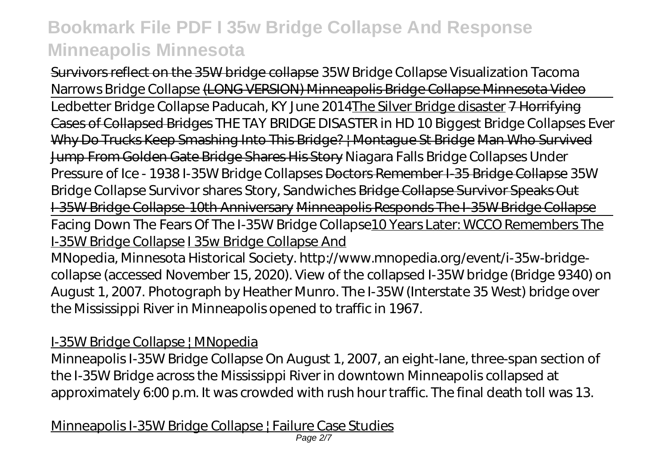Survivors reflect on the 35W bridge collapse *35W Bridge Collapse Visualization Tacoma Narrows Bridge Collapse* (LONG VERSION) Minneapolis Bridge Collapse Minnesota Video Ledbetter Bridge Collapse Paducah, KY June 2014The Silver Bridge disaster 7 Horrifying Cases of Collapsed Bridges *THE TAY BRIDGE DISASTER in HD 10 Biggest Bridge Collapses Ever* Why Do Trucks Keep Smashing Into This Bridge? | Montague St Bridge Man Who Survived Jump From Golden Gate Bridge Shares His Story Niagara Falls Bridge Collapses Under Pressure of Ice - 1938 *I-35W Bridge Collapses* Doctors Remember I-35 Bridge Collapse 35W Bridge Collapse Survivor shares Story, Sandwiches Bridge Collapse Survivor Speaks Out I-35W Bridge Collapse-10th Anniversary Minneapolis Responds The I-35W Bridge Collapse Facing Down The Fears Of The I-35W Bridge Collapse10 Years Later: WCCO Remembers The I-35W Bridge Collapse I 35w Bridge Collapse And

MNopedia, Minnesota Historical Society. http://www.mnopedia.org/event/i-35w-bridgecollapse (accessed November 15, 2020). View of the collapsed I-35W bridge (Bridge 9340) on August 1, 2007. Photograph by Heather Munro. The I-35W (Interstate 35 West) bridge over the Mississippi River in Minneapolis opened to traffic in 1967.

### I-35W Bridge Collapse | MNopedia

Minneapolis I-35W Bridge Collapse On August 1, 2007, an eight-lane, three-span section of the I-35W Bridge across the Mississippi River in downtown Minneapolis collapsed at approximately 6:00 p.m. It was crowded with rush hour traffic. The final death toll was 13.

Minneapolis I-35W Bridge Collapse | Failure Case Studies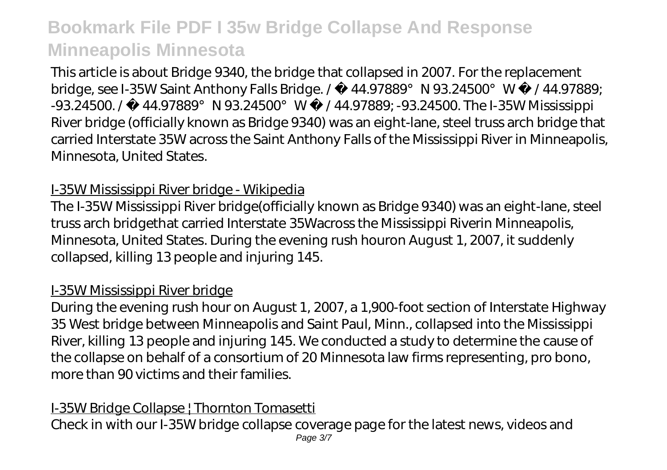This article is about Bridge 9340, the bridge that collapsed in 2007. For the replacement bridge, see I-35W Saint Anthony Falls Bridge. / 44.97889°N 93.24500°W /44.97889; -93.24500. / 44.97889°N 93.24500°W /44.97889; -93.24500. The I-35W Mississippi River bridge (officially known as Bridge 9340) was an eight-lane, steel truss arch bridge that carried Interstate 35W across the Saint Anthony Falls of the Mississippi River in Minneapolis, Minnesota, United States.

### I-35W Mississippi River bridge - Wikipedia

The I-35W Mississippi River bridge(officially known as Bridge 9340) was an eight-lane, steel truss arch bridgethat carried Interstate 35Wacross the Mississippi Riverin Minneapolis, Minnesota, United States. During the evening rush houron August 1, 2007, it suddenly collapsed, killing 13 people and injuring 145.

#### I-35W Mississippi River bridge

During the evening rush hour on August 1, 2007, a 1,900-foot section of Interstate Highway 35 West bridge between Minneapolis and Saint Paul, Minn., collapsed into the Mississippi River, killing 13 people and injuring 145. We conducted a study to determine the cause of the collapse on behalf of a consortium of 20 Minnesota law firms representing, pro bono, more than 90 victims and their families.

### I-35W Bridge Collapse | Thornton Tomasetti

Check in with our I-35W bridge collapse coverage page for the latest news, videos and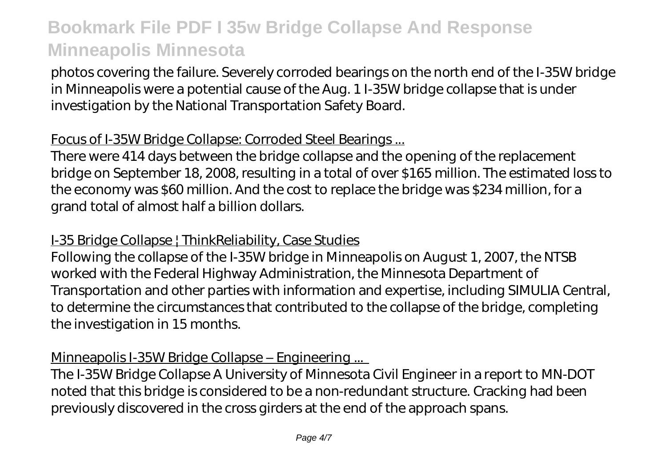photos covering the failure. Severely corroded bearings on the north end of the I-35W bridge in Minneapolis were a potential cause of the Aug. 1 I-35W bridge collapse that is under investigation by the National Transportation Safety Board.

#### Focus of I-35W Bridge Collapse: Corroded Steel Bearings ...

There were 414 days between the bridge collapse and the opening of the replacement bridge on September 18, 2008, resulting in a total of over \$165 million. The estimated loss to the economy was \$60 million. And the cost to replace the bridge was \$234 million, for a grand total of almost half a billion dollars.

#### I-35 Bridge Collapse | ThinkReliability, Case Studies

Following the collapse of the I-35W bridge in Minneapolis on August 1, 2007, the NTSB worked with the Federal Highway Administration, the Minnesota Department of Transportation and other parties with information and expertise, including SIMULIA Central, to determine the circumstances that contributed to the collapse of the bridge, completing the investigation in 15 months.

#### Minneapolis I-35W Bridge Collapse – Engineering ...

The I-35W Bridge Collapse A University of Minnesota Civil Engineer in a report to MN-DOT noted that this bridge is considered to be a non-redundant structure. Cracking had been previously discovered in the cross girders at the end of the approach spans.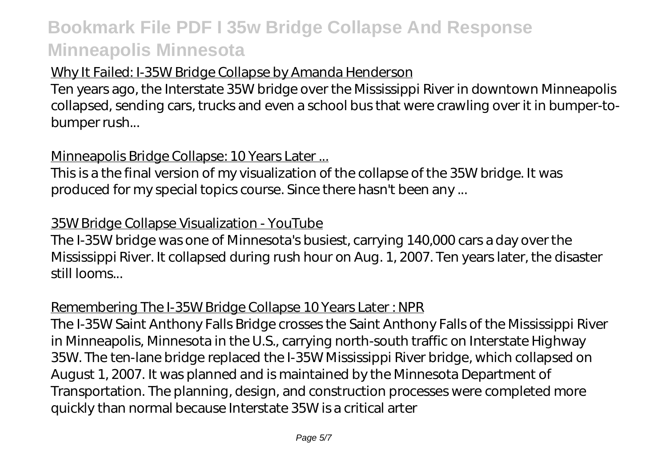### Why It Failed: I-35W Bridge Collapse by Amanda Henderson

Ten years ago, the Interstate 35W bridge over the Mississippi River in downtown Minneapolis collapsed, sending cars, trucks and even a school bus that were crawling over it in bumper-tobumper rush...

### Minneapolis Bridge Collapse: 10 Years Later ...

This is a the final version of my visualization of the collapse of the 35W bridge. It was produced for my special topics course. Since there hasn't been any ...

### 35W Bridge Collapse Visualization - YouTube

The I-35W bridge was one of Minnesota's busiest, carrying 140,000 cars a day over the Mississippi River. It collapsed during rush hour on Aug. 1, 2007. Ten years later, the disaster still looms...

### Remembering The I-35W Bridge Collapse 10 Years Later : NPR

The I-35W Saint Anthony Falls Bridge crosses the Saint Anthony Falls of the Mississippi River in Minneapolis, Minnesota in the U.S., carrying north-south traffic on Interstate Highway 35W. The ten-lane bridge replaced the I-35W Mississippi River bridge, which collapsed on August 1, 2007. It was planned and is maintained by the Minnesota Department of Transportation. The planning, design, and construction processes were completed more quickly than normal because Interstate 35W is a critical arter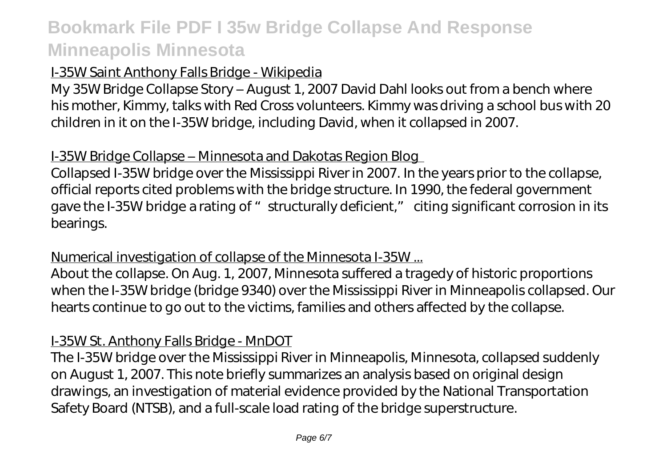### I-35W Saint Anthony Falls Bridge - Wikipedia

My 35W Bridge Collapse Story – August 1, 2007 David Dahl looks out from a bench where his mother, Kimmy, talks with Red Cross volunteers. Kimmy was driving a school bus with 20 children in it on the I-35W bridge, including David, when it collapsed in 2007.

### I-35W Bridge Collapse – Minnesota and Dakotas Region Blog

Collapsed I-35W bridge over the Mississippi River in 2007. In the years prior to the collapse, official reports cited problems with the bridge structure. In 1990, the federal government gave the I-35W bridge a rating of "structurally deficient," citing significant corrosion in its bearings.

#### Numerical investigation of collapse of the Minnesota I-35W ...

About the collapse. On Aug. 1, 2007, Minnesota suffered a tragedy of historic proportions when the I-35W bridge (bridge 9340) over the Mississippi River in Minneapolis collapsed. Our hearts continue to go out to the victims, families and others affected by the collapse.

### I-35W St. Anthony Falls Bridge - MnDOT

The I-35W bridge over the Mississippi River in Minneapolis, Minnesota, collapsed suddenly on August 1, 2007. This note briefly summarizes an analysis based on original design drawings, an investigation of material evidence provided by the National Transportation Safety Board (NTSB), and a full-scale load rating of the bridge superstructure.